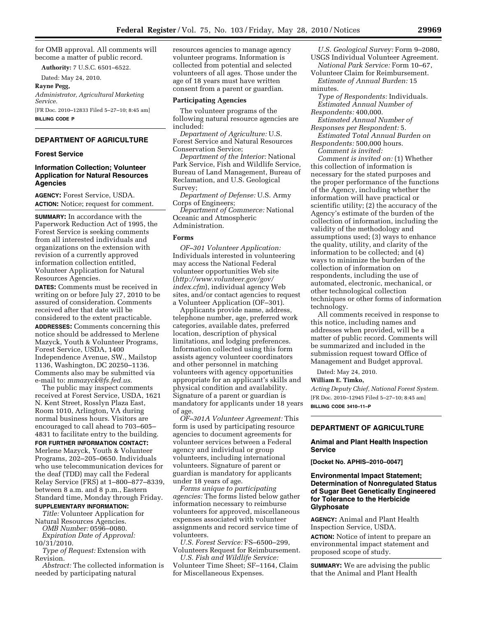for OMB approval. All comments will become a matter of public record.

**Authority:** 7 U.S.C. 6501–6522.

Dated: May 24, 2010.

**Rayne Pegg,**  *Administrator, Agricultural Marketing Service.*  [FR Doc. 2010–12833 Filed 5–27–10; 8:45 am]

**BILLING CODE P** 

# **DEPARTMENT OF AGRICULTURE**

## **Forest Service**

## **Information Collection; Volunteer Application for Natural Resources Agencies**

**AGENCY:** Forest Service, USDA. **ACTION:** Notice; request for comment.

**SUMMARY:** In accordance with the Paperwork Reduction Act of 1995, the Forest Service is seeking comments from all interested individuals and organizations on the extension with revision of a currently approved information collection entitled, Volunteer Application for Natural Resources Agencies.

**DATES:** Comments must be received in writing on or before July 27, 2010 to be assured of consideration. Comments received after that date will be considered to the extent practicable. **ADDRESSES:** Comments concerning this

notice should be addressed to Merlene Mazyck, Youth & Volunteer Programs, Forest Service, USDA, 1400 Independence Avenue, SW., Mailstop 1136, Washington, DC 20250–1136. Comments also may be submitted via e-mail to: *[mmazyck@fs.fed.us.](mailto:mmazyck@fs.fed.us)* 

The public may inspect comments received at Forest Service, USDA, 1621 N. Kent Street, Rosslyn Plaza East, Room 1010, Arlington, VA during normal business hours. Visitors are encouraged to call ahead to 703–605– 4831 to facilitate entry to the building.

#### **FOR FURTHER INFORMATION CONTACT:**

Merlene Mazyck, Youth & Volunteer Programs, 202–205–0650. Individuals who use telecommunication devices for the deaf (TDD) may call the Federal Relay Service (FRS) at 1–800–877–8339, between 8 a.m. and 8 p.m., Eastern Standard time, Monday through Friday.

# **SUPPLEMENTARY INFORMATION:**

*Title:* Volunteer Application for Natural Resources Agencies. *OMB Number:* 0596–0080. *Expiration Date of Approval:* 

10/31/2010. *Type of Request:* Extension with

Revision.

*Abstract:* The collected information is needed by participating natural

resources agencies to manage agency volunteer programs. Information is collected from potential and selected volunteers of all ages. Those under the age of 18 years must have written consent from a parent or guardian.

#### **Participating Agencies**

The volunteer programs of the following natural resource agencies are included:

*Department of Agriculture:* U.S. Forest Service and Natural Resources Conservation Service;

*Department of the Interior:* National Park Service, Fish and Wildlife Service, Bureau of Land Management, Bureau of Reclamation, and U.S. Geological Survey;

*Department of Defense:* U.S. Army Corps of Engineers;

*Department of Commerce:* National Oceanic and Atmospheric Administration.

#### **Forms**

*OF–301 Volunteer Application:*  Individuals interested in volunteering may access the National Federal volunteer opportunities Web site (*[http://www.volunteer.gov/gov/](http://www.volunteer.gov/gov/index.cfm) [index.cfm](http://www.volunteer.gov/gov/index.cfm)*), individual agency Web sites, and/or contact agencies to request a Volunteer Application (OF–301).

Applicants provide name, address, telephone number, age, preferred work categories, available dates, preferred location, description of physical limitations, and lodging preferences. Information collected using this form assists agency volunteer coordinators and other personnel in matching volunteers with agency opportunities appropriate for an applicant's skills and physical condition and availability. Signature of a parent or guardian is mandatory for applicants under 18 years of age.

*OF–301A Volunteer Agreement:* This form is used by participating resource agencies to document agreements for volunteer services between a Federal agency and individual or group volunteers, including international volunteers. Signature of parent or guardian is mandatory for applicants under 18 years of age.

*Forms unique to participating agencies:* The forms listed below gather information necessary to reimburse volunteers for approved, miscellaneous expenses associated with volunteer assignments and record service time of volunteers.

*U.S. Forest Service:* FS–6500–299, Volunteers Request for Reimbursement.

*U.S. Fish and Wildlife Service:*  Volunteer Time Sheet; SF–1164, Claim for Miscellaneous Expenses.

*U.S. Geological Survey:* Form 9–2080, USGS Individual Volunteer Agreement. *National Park Service:* Form 10–67,

Volunteer Claim for Reimbursement. *Estimate of Annual Burden:* 15

minutes.

*Type of Respondents:* Individuals. *Estimated Annual Number of Respondents:* 400,000.

*Estimated Annual Number of Responses per Respondent:* 5.

*Estimated Total Annual Burden on Respondents:* 500,000 hours.

*Comment is invited:* 

*Comment is invited on:* (1) Whether this collection of information is necessary for the stated purposes and the proper performance of the functions of the Agency, including whether the information will have practical or scientific utility; (2) the accuracy of the Agency's estimate of the burden of the collection of information, including the validity of the methodology and assumptions used; (3) ways to enhance the quality, utility, and clarity of the information to be collected; and (4) ways to minimize the burden of the collection of information on respondents, including the use of automated, electronic, mechanical, or other technological collection techniques or other forms of information technology.

All comments received in response to this notice, including names and addresses when provided, will be a matter of public record. Comments will be summarized and included in the submission request toward Office of Management and Budget approval.

Dated: May 24, 2010.

#### **William E. Timko,**

*Acting Deputy Chief, National Forest System.*  [FR Doc. 2010–12945 Filed 5–27–10; 8:45 am] **BILLING CODE 3410–11–P** 

## **DEPARTMENT OF AGRICULTURE**

# **Animal and Plant Health Inspection Service**

**[Docket No. APHIS–2010–0047]** 

## **Environmental Impact Statement; Determination of Nonregulated Status of Sugar Beet Genetically Engineered for Tolerance to the Herbicide Glyphosate**

**AGENCY:** Animal and Plant Health Inspection Service, USDA.

**ACTION:** Notice of intent to prepare an environmental impact statement and proposed scope of study.

**SUMMARY:** We are advising the public that the Animal and Plant Health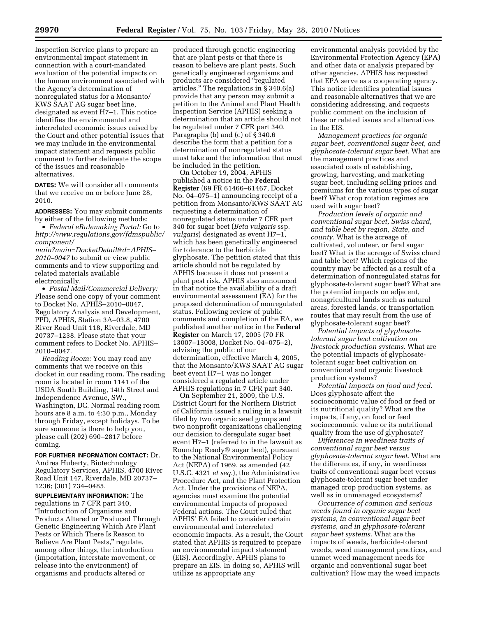Inspection Service plans to prepare an environmental impact statement in connection with a court-mandated evaluation of the potential impacts on the human environment associated with the Agency's determination of nonregulated status for a Monsanto/ KWS SAAT AG sugar beet line, designated as event H7–1. This notice identifies the environmental and interrelated economic issues raised by the Court and other potential issues that we may include in the environmental impact statement and requests public comment to further delineate the scope of the issues and reasonable alternatives.

**DATES:** We will consider all comments that we receive on or before June 28, 2010.

**ADDRESSES:** You may submit comments by either of the following methods:

• *Federal eRulemaking Portal:* Go to *[http://www.regulations.gov/fdmspublic/](http://www.regulations.gov/fdmspublic/component/main?main=DocketDetail&d=APHIS-2010-0047) [component/](http://www.regulations.gov/fdmspublic/component/main?main=DocketDetail&d=APHIS-2010-0047)* 

*[main?main=DocketDetail&d=APHIS–](http://www.regulations.gov/fdmspublic/component/main?main=DocketDetail&d=APHIS-2010-0047) [2010–0047](http://www.regulations.gov/fdmspublic/component/main?main=DocketDetail&d=APHIS-2010-0047)* to submit or view public comments and to view supporting and related materials available electronically.

• *Postal Mail/Commercial Delivery:*  Please send one copy of your comment to Docket No. APHIS–2010–0047, Regulatory Analysis and Development, PPD, APHIS, Station 3A–03.8, 4700 River Road Unit 118, Riverdale, MD 20737–1238. Please state that your comment refers to Docket No. APHIS– 2010–0047.

*Reading Room:* You may read any comments that we receive on this docket in our reading room. The reading room is located in room 1141 of the USDA South Building, 14th Street and Independence Avenue, SW., Washington, DC. Normal reading room hours are 8 a.m. to 4:30 p.m., Monday through Friday, except holidays. To be sure someone is there to help you, please call (202) 690–2817 before coming.

**FOR FURTHER INFORMATION CONTACT:** Dr. Andrea Huberty, Biotechnology Regulatory Services, APHIS, 4700 River Road Unit 147, Riverdale, MD 20737– 1236; (301) 734–0485.

**SUPPLEMENTARY INFORMATION:** The regulations in 7 CFR part 340, ''Introduction of Organisms and Products Altered or Produced Through Genetic Engineering Which Are Plant Pests or Which There Is Reason to Believe Are Plant Pests,'' regulate, among other things, the introduction (importation, interstate movement, or release into the environment) of organisms and products altered or

produced through genetic engineering that are plant pests or that there is reason to believe are plant pests. Such genetically engineered organisms and products are considered "regulated articles.'' The regulations in § 340.6(a) provide that any person may submit a petition to the Animal and Plant Health Inspection Service (APHIS) seeking a determination that an article should not be regulated under 7 CFR part 340. Paragraphs (b) and (c) of § 340.6 describe the form that a petition for a determination of nonregulated status must take and the information that must be included in the petition.

On October 19, 2004, APHIS published a notice in the **Federal Register** (69 FR 61466–61467, Docket No. 04–075–1) announcing receipt of a petition from Monsanto/KWS SAAT AG requesting a determination of nonregulated status under 7 CFR part 340 for sugar beet (*Beta vulgaris* ssp. *vulgaris*) designated as event H7–1, which has been genetically engineered for tolerance to the herbicide glyphosate. The petition stated that this article should not be regulated by APHIS because it does not present a plant pest risk. APHIS also announced in that notice the availability of a draft environmental assessment (EA) for the proposed determination of nonregulated status. Following review of public comments and completion of the EA, we published another notice in the **Federal Register** on March 17, 2005 (70 FR 13007–13008, Docket No. 04–075–2), advising the public of our determination, effective March 4, 2005, that the Monsanto/KWS SAAT AG sugar beet event H7–1 was no longer considered a regulated article under APHIS regulations in 7 CFR part 340.

On September 21, 2009, the U.S. District Court for the Northern District of California issued a ruling in a lawsuit filed by two organic seed groups and two nonprofit organizations challenging our decision to deregulate sugar beet event H7–1 (referred to in the lawsuit as Roundup Ready® sugar beet), pursuant to the National Environmental Policy Act (NEPA) of 1969, as amended (42 U.S.C. 4321 *et seq.*), the Administrative Procedure Act, and the Plant Protection Act. Under the provisions of NEPA, agencies must examine the potential environmental impacts of proposed Federal actions. The Court ruled that APHIS' EA failed to consider certain environmental and interrelated economic impacts. As a result, the Court stated that APHIS is required to prepare an environmental impact statement (EIS). Accordingly, APHIS plans to prepare an EIS. In doing so, APHIS will utilize as appropriate any

environmental analysis provided by the Environmental Protection Agency (EPA) and other data or analysis prepared by other agencies. APHIS has requested that EPA serve as a cooperating agency. This notice identifies potential issues and reasonable alternatives that we are considering addressing, and requests public comment on the inclusion of these or related issues and alternatives in the EIS.

*Management practices for organic sugar beet, conventional sugar beet, and glyphosate-tolerant sugar beet.* What are the management practices and associated costs of establishing, growing, harvesting, and marketing sugar beet, including selling prices and premiums for the various types of sugar beet? What crop rotation regimes are used with sugar beet?

*Production levels of organic and conventional sugar beet, Swiss chard, and table beet by region, State, and county.* What is the acreage of cultivated, volunteer, or feral sugar beet? What is the acreage of Swiss chard and table beet? Which regions of the country may be affected as a result of a determination of nonregulated status for glyphosate-tolerant sugar beet? What are the potential impacts on adjacent, nonagricultural lands such as natural areas, forested lands, or transportation routes that may result from the use of glyphosate-tolerant sugar beet?

*Potential impacts of glyphosatetolerant sugar beet cultivation on livestock production systems.* What are the potential impacts of glyphosatetolerant sugar beet cultivation on conventional and organic livestock production systems?

*Potential impacts on food and feed.*  Does glyphosate affect the socioeconomic value of food or feed or its nutritional quality? What are the impacts, if any, on food or feed socioeconomic value or its nutritional quality from the use of glyphosate?

*Differences in weediness traits of conventional sugar beet versus glyphosate-tolerant sugar beet.* What are the differences, if any, in weediness traits of conventional sugar beet versus glyphosate-tolerant sugar beet under managed crop production systems, as well as in unmanaged ecosystems?

*Occurrence of common and serious weeds found in organic sugar beet systems, in conventional sugar beet systems, and in glyphosate-tolerant sugar beet systems.* What are the impacts of weeds, herbicide-tolerant weeds, weed management practices, and unmet weed management needs for organic and conventional sugar beet cultivation? How may the weed impacts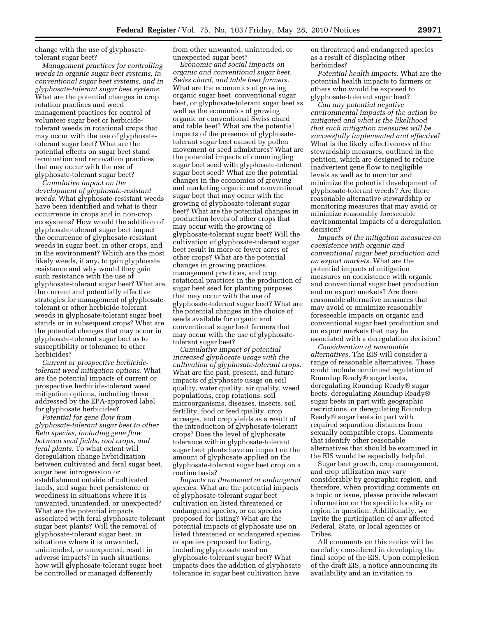change with the use of glyphosatetolerant sugar beet?

*Management practices for controlling weeds in organic sugar beet systems, in conventional sugar beet systems, and in glyphosate-tolerant sugar beet systems.*  What are the potential changes in crop rotation practices and weed management practices for control of volunteer sugar beet or herbicidetolerant weeds in rotational crops that may occur with the use of glyphosatetolerant sugar beet? What are the potential effects on sugar beet stand termination and renovation practices that may occur with the use of glyphosate-tolerant sugar beet?

*Cumulative impact on the development of glyphosate-resistant weeds.* What glyphosate-resistant weeds have been identified and what is their occurrence in crops and in non-crop ecosystems? How would the addition of glyphosate-tolerant sugar beet impact the occurrence of glyphosate-resistant weeds in sugar beet, in other crops, and in the environment? Which are the most likely weeds, if any, to gain glyphosate resistance and why would they gain such resistance with the use of glyphosate-tolerant sugar beet? What are the current and potentially effective strategies for management of glyphosatetolerant or other herbicide-tolerant weeds in glyphosate-tolerant sugar beet stands or in subsequent crops? What are the potential changes that may occur in glyphosate-tolerant sugar beet as to susceptibility or tolerance to other herbicides?

*Current or prospective herbicidetolerant weed mitigation options.* What are the potential impacts of current or prospective herbicide-tolerant weed mitigation options, including those addressed by the EPA-approved label for glyphosate herbicides?

*Potential for gene flow from glyphosate-tolerant sugar beet to other Beta species, including gene flow between seed fields, root crops, and feral plants.* To what extent will deregulation change hybridization between cultivated and feral sugar beet, sugar beet introgression or establishment outside of cultivated lands, and sugar beet persistence or weediness in situations where it is unwanted, unintended, or unexpected? What are the potential impacts associated with feral glyphosate-tolerant sugar beet plants? Will the removal of glyphosate-tolerant sugar beet, in situations where it is unwanted, unintended, or unexpected, result in adverse impacts? In such situations, how will glyphosate-tolerant sugar beet be controlled or managed differently

from other unwanted, unintended, or unexpected sugar beet?

*Economic and social impacts on organic and conventional sugar beet, Swiss chard, and table beet farmers.*  What are the economics of growing organic sugar beet, conventional sugar beet, or glyphosate-tolerant sugar beet as well as the economics of growing organic or conventional Swiss chard and table beet? What are the potential impacts of the presence of glyphosatetolerant sugar beet caused by pollen movement or seed admixtures? What are the potential impacts of commingling sugar beet seed with glyphosate-tolerant sugar beet seed? What are the potential changes in the economics of growing and marketing organic and conventional sugar beet that may occur with the growing of glyphosate-tolerant sugar beet? What are the potential changes in production levels of other crops that may occur with the growing of glyphosate-tolerant sugar beet? Will the cultivation of glyphosate-tolerant sugar beet result in more or fewer acres of other crops? What are the potential changes in growing practices, management practices, and crop rotational practices in the production of sugar beet seed for planting purposes that may occur with the use of glyphosate-tolerant sugar beet? What are the potential changes in the choice of seeds available for organic and conventional sugar beet farmers that may occur with the use of glyphosatetolerant sugar beet?

*Cumulative impact of potential increased glyphosate usage with the cultivation of glyphosate-tolerant crops.*  What are the past, present, and future impacts of glyphosate usage on soil quality, water quality, air quality, weed populations, crop rotations, soil microorganisms, diseases, insects, soil fertility, food or feed quality, crop acreages, and crop yields as a result of the introduction of glyphosate-tolerant crops? Does the level of glyphosate tolerance within glyphosate-tolerant sugar beet plants have an impact on the amount of glyphosate applied on the glyphosate-tolerant sugar beet crop on a routine basis?

*Impacts on threatened or endangered species.* What are the potential impacts of glyphosate-tolerant sugar beet cultivation on listed threatened or endangered species, or on species proposed for listing? What are the potential impacts of glyphosate use on listed threatened or endangered species or species proposed for listing, including glyphosate used on glyphosate-tolerant sugar beet? What impacts does the addition of glyphosate tolerance in sugar beet cultivation have

on threatened and endangered species as a result of displacing other herbicides?

*Potential health impacts.* What are the potential health impacts to farmers or others who would be exposed to glyphosate-tolerant sugar beet?

*Can any potential negative environmental impacts of the action be mitigated and what is the likelihood that such mitigation measures will be successfully implemented and effective?*  What is the likely effectiveness of the stewardship measures, outlined in the petition, which are designed to reduce inadvertent gene flow to negligible levels as well as to monitor and minimize the potential development of glyphosate-tolerant weeds? Are there reasonable alternative stewardship or monitoring measures that may avoid or minimize reasonably foreseeable environmental impacts of a deregulation decision?

*Impacts of the mitigation measures on coexistence with organic and conventional sugar beet production and on export markets.* What are the potential impacts of mitigation measures on coexistence with organic and conventional sugar beet production and on export markets? Are there reasonable alternative measures that may avoid or minimize reasonably foreseeable impacts on organic and conventional sugar beet production and on export markets that may be associated with a deregulation decision?

*Consideration of reasonable alternatives.* The EIS will consider a range of reasonable alternatives. These could include continued regulation of Roundup Ready® sugar beets, deregulating Roundup Ready® sugar beets, deregulating Roundup Ready® sugar beets in part with geographic restrictions, or deregulating Roundup Ready® sugar beets in part with required separation distances from sexually compatible crops. Comments that identify other reasonable alternatives that should be examined in the EIS would be especially helpful.

Sugar beet growth, crop management, and crop utilization may vary considerably by geographic region, and therefore, when providing comments on a topic or issue, please provide relevant information on the specific locality or region in question. Additionally, we invite the participation of any affected Federal, State, or local agencies or Tribes.

All comments on this notice will be carefully considered in developing the final scope of the EIS. Upon completion of the draft EIS, a notice announcing its availability and an invitation to